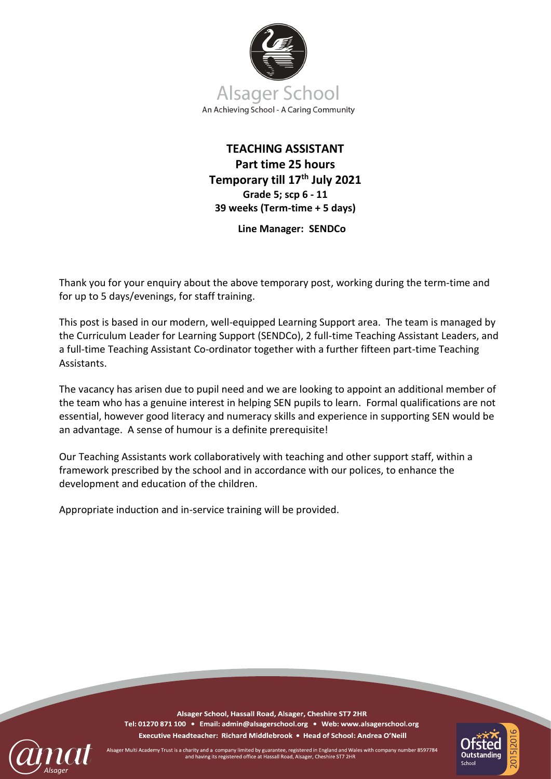

# **TEACHING ASSISTANT Part time 25 hours Temporary till 17th July 2021 Grade 5; scp 6 - 11 39 weeks (Term-time + 5 days)**

**Line Manager: SENDCo**

Thank you for your enquiry about the above temporary post, working during the term-time and for up to 5 days/evenings, for staff training.

This post is based in our modern, well-equipped Learning Support area. The team is managed by the Curriculum Leader for Learning Support (SENDCo), 2 full-time Teaching Assistant Leaders, and a full-time Teaching Assistant Co-ordinator together with a further fifteen part-time Teaching Assistants.

The vacancy has arisen due to pupil need and we are looking to appoint an additional member of the team who has a genuine interest in helping SEN pupils to learn. Formal qualifications are not essential, however good literacy and numeracy skills and experience in supporting SEN would be an advantage. A sense of humour is a definite prerequisite!

Our Teaching Assistants work collaboratively with teaching and other support staff, within a framework prescribed by the school and in accordance with our polices, to enhance the development and education of the children.

Appropriate induction and in-service training will be provided.

Alsager School, Hassall Road, Alsager, Cheshire ST7 2HR Tel: 01270 871 100 · Email: admin@alsagerschool.org · Web: www.alsagerschool.org Executive Headteacher: Richard Middlebrook • Head of School: Andrea O'Neill



Multi Academy Trust is a charity and a company limited by guarantee, registered in England and Wales with company number 8597784 and having its registered office at Hassall Road, Alsager, Cheshire ST7 2HR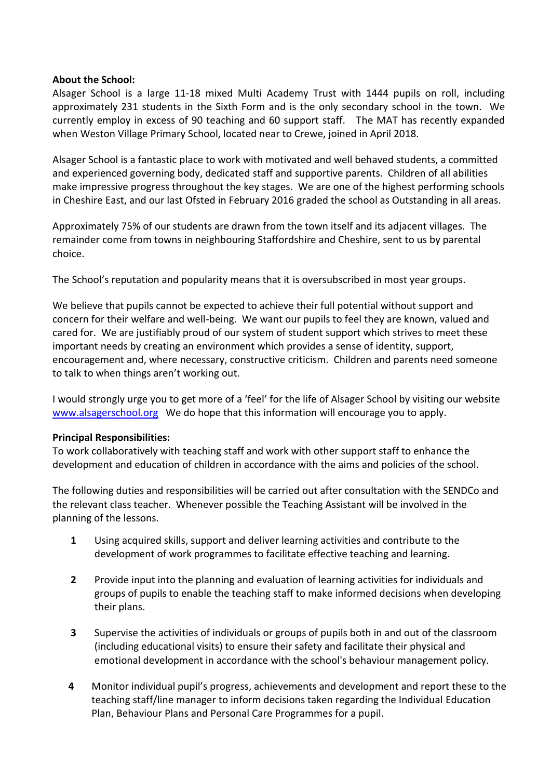# **About the School:**

Alsager School is a large 11-18 mixed Multi Academy Trust with 1444 pupils on roll, including approximately 231 students in the Sixth Form and is the only secondary school in the town. We currently employ in excess of 90 teaching and 60 support staff. The MAT has recently expanded when Weston Village Primary School, located near to Crewe, joined in April 2018.

Alsager School is a fantastic place to work with motivated and well behaved students, a committed and experienced governing body, dedicated staff and supportive parents. Children of all abilities make impressive progress throughout the key stages. We are one of the highest performing schools in Cheshire East, and our last Ofsted in February 2016 graded the school as Outstanding in all areas.

Approximately 75% of our students are drawn from the town itself and its adjacent villages. The remainder come from towns in neighbouring Staffordshire and Cheshire, sent to us by parental choice.

The School's reputation and popularity means that it is oversubscribed in most year groups.

We believe that pupils cannot be expected to achieve their full potential without support and concern for their welfare and well-being. We want our pupils to feel they are known, valued and cared for. We are justifiably proud of our system of student support which strives to meet these important needs by creating an environment which provides a sense of identity, support, encouragement and, where necessary, constructive criticism. Children and parents need someone to talk to when things aren't working out.

I would strongly urge you to get more of a 'feel' for the life of Alsager School by visiting our website [www.alsagerschool.org](http://www.alsagerschool.org/) We do hope that this information will encourage you to apply.

## **Principal Responsibilities:**

To work collaboratively with teaching staff and work with other support staff to enhance the development and education of children in accordance with the aims and policies of the school.

The following duties and responsibilities will be carried out after consultation with the SENDCo and the relevant class teacher. Whenever possible the Teaching Assistant will be involved in the planning of the lessons.

- **1** Using acquired skills, support and deliver learning activities and contribute to the development of work programmes to facilitate effective teaching and learning.
- **2** Provide input into the planning and evaluation of learning activities for individuals and groups of pupils to enable the teaching staff to make informed decisions when developing their plans.
- **3** Supervise the activities of individuals or groups of pupils both in and out of the classroom (including educational visits) to ensure their safety and facilitate their physical and emotional development in accordance with the school's behaviour management policy.
- **4** Monitor individual pupil's progress, achievements and development and report these to the teaching staff/line manager to inform decisions taken regarding the Individual Education Plan, Behaviour Plans and Personal Care Programmes for a pupil.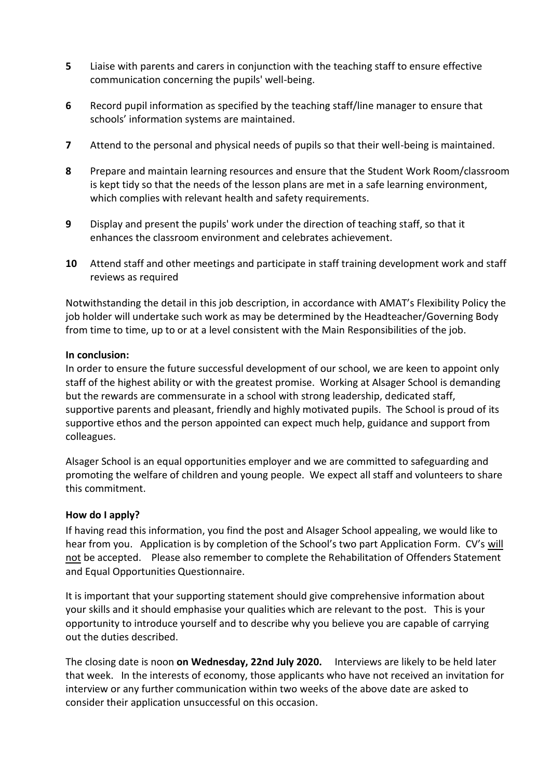- **5** Liaise with parents and carers in conjunction with the teaching staff to ensure effective communication concerning the pupils' well-being.
- **6** Record pupil information as specified by the teaching staff/line manager to ensure that schools' information systems are maintained.
- **7** Attend to the personal and physical needs of pupils so that their well-being is maintained.
- **8** Prepare and maintain learning resources and ensure that the Student Work Room/classroom is kept tidy so that the needs of the lesson plans are met in a safe learning environment, which complies with relevant health and safety requirements.
- **9** Display and present the pupils' work under the direction of teaching staff, so that it enhances the classroom environment and celebrates achievement.
- **10** Attend staff and other meetings and participate in staff training development work and staff reviews as required

Notwithstanding the detail in this job description, in accordance with AMAT's Flexibility Policy the job holder will undertake such work as may be determined by the Headteacher/Governing Body from time to time, up to or at a level consistent with the Main Responsibilities of the job.

# **In conclusion:**

In order to ensure the future successful development of our school, we are keen to appoint only staff of the highest ability or with the greatest promise. Working at Alsager School is demanding but the rewards are commensurate in a school with strong leadership, dedicated staff, supportive parents and pleasant, friendly and highly motivated pupils. The School is proud of its supportive ethos and the person appointed can expect much help, guidance and support from colleagues.

Alsager School is an equal opportunities employer and we are committed to safeguarding and promoting the welfare of children and young people. We expect all staff and volunteers to share this commitment.

# **How do I apply?**

If having read this information, you find the post and Alsager School appealing, we would like to hear from you. Application is by completion of the School's two part Application Form. CV's will not be accepted. Please also remember to complete the Rehabilitation of Offenders Statement and Equal Opportunities Questionnaire.

It is important that your supporting statement should give comprehensive information about your skills and it should emphasise your qualities which are relevant to the post. This is your opportunity to introduce yourself and to describe why you believe you are capable of carrying out the duties described.

The closing date is noon **on Wednesday, 22nd July 2020.** Interviews are likely to be held later that week. In the interests of economy, those applicants who have not received an invitation for interview or any further communication within two weeks of the above date are asked to consider their application unsuccessful on this occasion.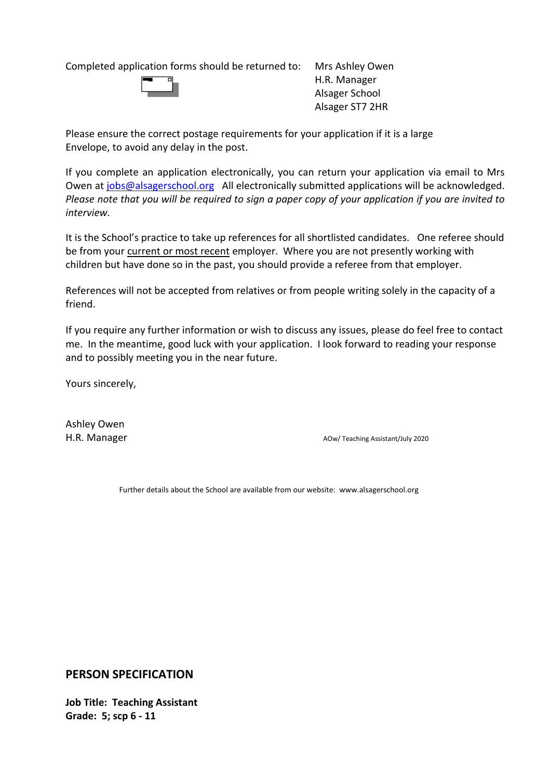Completed application forms should be returned to: Mrs Ashley Owen



H.R. Manager Alsager School Alsager ST7 2HR

Please ensure the correct postage requirements for your application if it is a large Envelope, to avoid any delay in the post.

If you complete an application electronically, you can return your application via email to Mrs Owen at [jobs@alsagerschool.org](mailto:jobs@alsagerschool.org) All electronically submitted applications will be acknowledged. *Please note that you will be required to sign a paper copy of your application if you are invited to interview.* 

It is the School's practice to take up references for all shortlisted candidates. One referee should be from your current or most recent employer. Where you are not presently working with children but have done so in the past, you should provide a referee from that employer.

References will not be accepted from relatives or from people writing solely in the capacity of a friend.

If you require any further information or wish to discuss any issues, please do feel free to contact me. In the meantime, good luck with your application. I look forward to reading your response and to possibly meeting you in the near future.

Yours sincerely,

Ashley Owen

H.R. Manager **Aow/ Teaching Assistant/July 2020** 

Further details about the School are available from our website: www.alsagerschool.org

**PERSON SPECIFICATION**

**Job Title: Teaching Assistant Grade: 5; scp 6 - 11**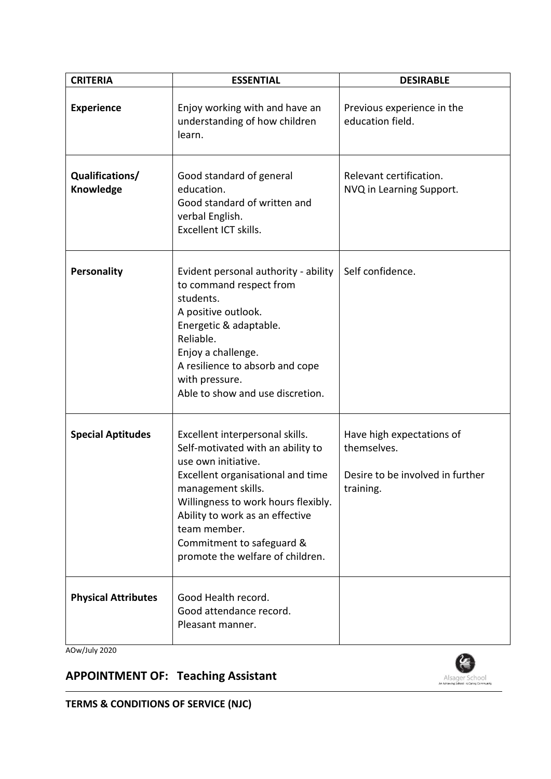| <b>CRITERIA</b>              | <b>ESSENTIAL</b>                                                                                                                                                                                                                                                                                                  | <b>DESIRABLE</b>                                                                          |
|------------------------------|-------------------------------------------------------------------------------------------------------------------------------------------------------------------------------------------------------------------------------------------------------------------------------------------------------------------|-------------------------------------------------------------------------------------------|
| <b>Experience</b>            | Enjoy working with and have an<br>understanding of how children<br>learn.                                                                                                                                                                                                                                         | Previous experience in the<br>education field.                                            |
| Qualifications/<br>Knowledge | Good standard of general<br>education.<br>Good standard of written and<br>verbal English.<br>Excellent ICT skills.                                                                                                                                                                                                | Relevant certification.<br>NVQ in Learning Support.                                       |
| <b>Personality</b>           | Evident personal authority - ability<br>to command respect from<br>students.<br>A positive outlook.<br>Energetic & adaptable.<br>Reliable.<br>Enjoy a challenge.<br>A resilience to absorb and cope<br>with pressure.<br>Able to show and use discretion.                                                         | Self confidence.                                                                          |
| <b>Special Aptitudes</b>     | Excellent interpersonal skills.<br>Self-motivated with an ability to<br>use own initiative.<br>Excellent organisational and time<br>management skills.<br>Willingness to work hours flexibly.<br>Ability to work as an effective<br>team member.<br>Commitment to safeguard &<br>promote the welfare of children. | Have high expectations of<br>themselves.<br>Desire to be involved in further<br>training. |
| <b>Physical Attributes</b>   | Good Health record.<br>Good attendance record.<br>Pleasant manner.                                                                                                                                                                                                                                                |                                                                                           |

AOw/July 2020

# **APPOINTMENT OF: Teaching Assistant**



**TERMS & CONDITIONS OF SERVICE (NJC)**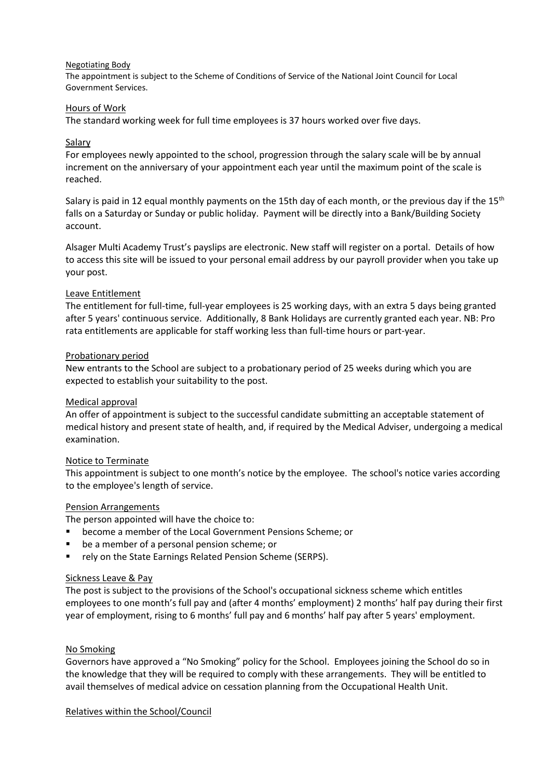#### Negotiating Body

The appointment is subject to the Scheme of Conditions of Service of the National Joint Council for Local Government Services.

#### Hours of Work

The standard working week for full time employees is 37 hours worked over five days.

#### Salary

For employees newly appointed to the school, progression through the salary scale will be by annual increment on the anniversary of your appointment each year until the maximum point of the scale is reached.

Salary is paid in 12 equal monthly payments on the 15th day of each month, or the previous day if the 15<sup>th</sup> falls on a Saturday or Sunday or public holiday. Payment will be directly into a Bank/Building Society account.

Alsager Multi Academy Trust's payslips are electronic. New staff will register on a portal. Details of how to access this site will be issued to your personal email address by our payroll provider when you take up your post.

#### Leave Entitlement

The entitlement for full-time, full-year employees is 25 working days, with an extra 5 days being granted after 5 years' continuous service. Additionally, 8 Bank Holidays are currently granted each year. NB: Pro rata entitlements are applicable for staff working less than full-time hours or part-year.

#### Probationary period

New entrants to the School are subject to a probationary period of 25 weeks during which you are expected to establish your suitability to the post.

#### Medical approval

An offer of appointment is subject to the successful candidate submitting an acceptable statement of medical history and present state of health, and, if required by the Medical Adviser, undergoing a medical examination.

#### Notice to Terminate

This appointment is subject to one month's notice by the employee. The school's notice varies according to the employee's length of service.

#### Pension Arrangements

The person appointed will have the choice to:

- become a member of the Local Government Pensions Scheme; or
- be a member of a personal pension scheme; or
- rely on the State Earnings Related Pension Scheme (SERPS).

#### Sickness Leave & Pay

The post is subject to the provisions of the School's occupational sickness scheme which entitles employees to one month's full pay and (after 4 months' employment) 2 months' half pay during their first year of employment, rising to 6 months' full pay and 6 months' half pay after 5 years' employment.

#### No Smoking

Governors have approved a "No Smoking" policy for the School. Employees joining the School do so in the knowledge that they will be required to comply with these arrangements. They will be entitled to avail themselves of medical advice on cessation planning from the Occupational Health Unit.

Relatives within the School/Council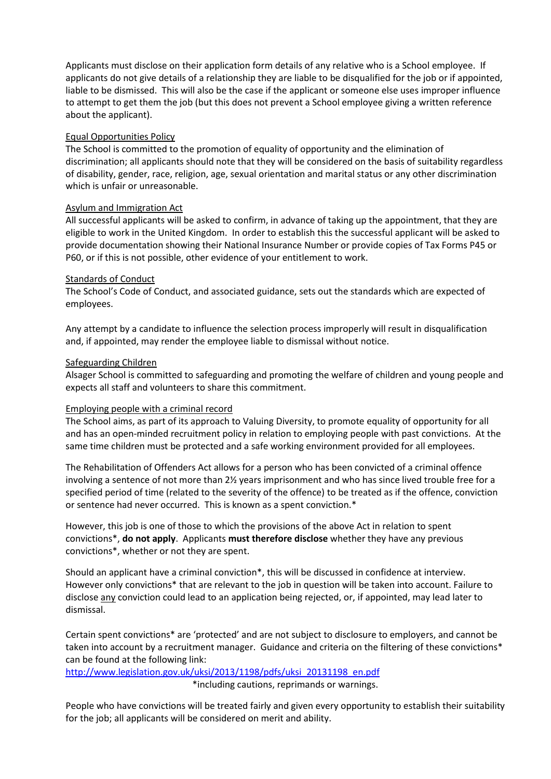Applicants must disclose on their application form details of any relative who is a School employee. If applicants do not give details of a relationship they are liable to be disqualified for the job or if appointed, liable to be dismissed. This will also be the case if the applicant or someone else uses improper influence to attempt to get them the job (but this does not prevent a School employee giving a written reference about the applicant).

#### Equal Opportunities Policy

The School is committed to the promotion of equality of opportunity and the elimination of discrimination; all applicants should note that they will be considered on the basis of suitability regardless of disability, gender, race, religion, age, sexual orientation and marital status or any other discrimination which is unfair or unreasonable.

#### Asylum and Immigration Act

All successful applicants will be asked to confirm, in advance of taking up the appointment, that they are eligible to work in the United Kingdom. In order to establish this the successful applicant will be asked to provide documentation showing their National Insurance Number or provide copies of Tax Forms P45 or P60, or if this is not possible, other evidence of your entitlement to work.

#### Standards of Conduct

The School's Code of Conduct, and associated guidance, sets out the standards which are expected of employees.

Any attempt by a candidate to influence the selection process improperly will result in disqualification and, if appointed, may render the employee liable to dismissal without notice.

#### Safeguarding Children

Alsager School is committed to safeguarding and promoting the welfare of children and young people and expects all staff and volunteers to share this commitment.

#### Employing people with a criminal record

The School aims, as part of its approach to Valuing Diversity, to promote equality of opportunity for all and has an open-minded recruitment policy in relation to employing people with past convictions. At the same time children must be protected and a safe working environment provided for all employees.

The Rehabilitation of Offenders Act allows for a person who has been convicted of a criminal offence involving a sentence of not more than 2½ years imprisonment and who has since lived trouble free for a specified period of time (related to the severity of the offence) to be treated as if the offence, conviction or sentence had never occurred. This is known as a spent conviction.\*

However, this job is one of those to which the provisions of the above Act in relation to spent convictions\*, **do not apply**. Applicants **must therefore disclose** whether they have any previous convictions\*, whether or not they are spent.

Should an applicant have a criminal conviction\*, this will be discussed in confidence at interview. However only convictions\* that are relevant to the job in question will be taken into account. Failure to disclose any conviction could lead to an application being rejected, or, if appointed, may lead later to dismissal.

Certain spent convictions\* are 'protected' and are not subject to disclosure to employers, and cannot be taken into account by a recruitment manager. Guidance and criteria on the filtering of these convictions\* can be found at the following link:

## [http://www.legislation.gov.uk/uksi/2013/1198/pdfs/uksi\\_20131198\\_en.pdf](http://www.legislation.gov.uk/uksi/2013/1198/pdfs/uksi_20131198_en.pdf)

\*including cautions, reprimands or warnings.

People who have convictions will be treated fairly and given every opportunity to establish their suitability for the job; all applicants will be considered on merit and ability.